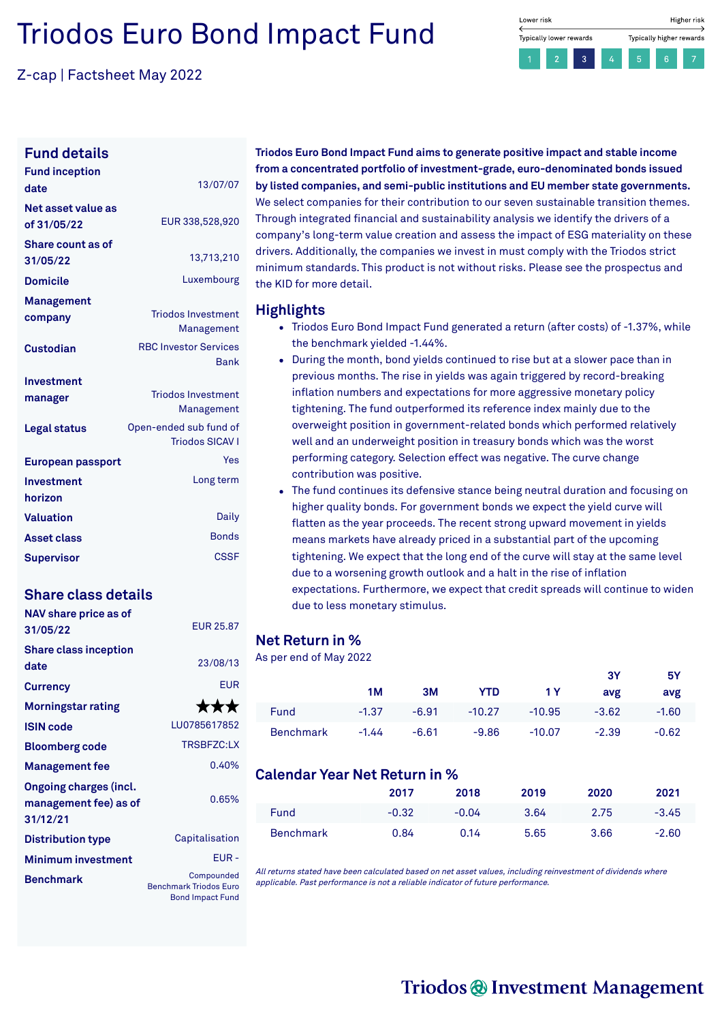# Triodos Euro Bond Impact Fund

Z-cap | Factsheet May 2022



#### **Fund details**

| <b>Fund inception</b><br>date     | 13/07/07                                         |
|-----------------------------------|--------------------------------------------------|
| Net asset value as<br>of 31/05/22 | EUR 338,528,920                                  |
| Share count as of<br>31/05/22     | 13,713,210                                       |
| <b>Domicile</b>                   | Luxembourg                                       |
| Management<br>company             | <b>Triodos Investment</b><br>Management          |
| Custodian                         | <b>RBC Investor Services</b><br><b>Rank</b>      |
| Investment                        |                                                  |
| manager                           | <b>Triodos Investment</b><br>Management          |
| <b>Legal status</b>               | Open-ended sub fund of<br><b>Triodos SICAV I</b> |
| European passport                 | Yes                                              |
| Investment<br>horizon             | Long term                                        |
| <b>Valuation</b>                  | Daily                                            |
| <b>Asset class</b>                | <b>Bonds</b>                                     |
| <b>Supervisor</b>                 | CSSF                                             |

### **Share class details**

**NAV share price as of**

| <b>NAV Stidle price ds 01</b><br>31/05/22                          | <b>EUR 25.87</b>                                                       |
|--------------------------------------------------------------------|------------------------------------------------------------------------|
| <b>Share class inception</b><br>date                               | 23/08/13                                                               |
| <b>Currency</b>                                                    | <b>EUR</b>                                                             |
| <b>Morningstar rating</b>                                          | ***                                                                    |
| <b>ISIN code</b>                                                   | LU0785617852                                                           |
| <b>Bloomberg code</b>                                              | <b>TRSBFZC:LX</b>                                                      |
| <b>Management fee</b>                                              | 0.40%                                                                  |
| <b>Ongoing charges (incl.</b><br>management fee) as of<br>31/12/21 | 0.65%                                                                  |
| <b>Distribution type</b>                                           | Capitalisation                                                         |
| <b>Minimum investment</b>                                          | EUR-                                                                   |
| <b>Benchmark</b>                                                   | Compounded<br><b>Benchmark Triodos Euro</b><br><b>Bond Impact Fund</b> |

**Triodos Euro Bond Impact Fund aims to generate positive impact and stable income from a concentrated portfolio of investment-grade, euro-denominated bonds issued by listed companies, and semi-public institutions and EU member state governments.** We select companies for their contribution to our seven sustainable transition themes. Through integrated financial and sustainability analysis we identify the drivers of a company's long-term value creation and assess the impact of ESG materiality on these drivers. Additionally, the companies we invest in must comply with the Triodos strict minimum standards. This product is not without risks. Please see the prospectus and the KID for more detail.

#### **Highlights**

- Triodos Euro Bond Impact Fund generated a return (after costs) of -1.37%, while the benchmark yielded -1.44%.
- During the month, bond yields continued to rise but at a slower pace than in previous months. The rise in yields was again triggered by record-breaking inflation numbers and expectations for more aggressive monetary policy tightening. The fund outperformed its reference index mainly due to the overweight position in government-related bonds which performed relatively well and an underweight position in treasury bonds which was the worst performing category. Selection effect was negative. The curve change contribution was positive.
- The fund continues its defensive stance being neutral duration and focusing on higher quality bonds. For government bonds we expect the yield curve will flatten as the year proceeds. The recent strong upward movement in yields means markets have already priced in a substantial part of the upcoming tightening. We expect that the long end of the curve will stay at the same level due to a worsening growth outlook and a halt in the rise of inflation expectations. Furthermore, we expect that credit spreads will continue to widen due to less monetary stimulus.

#### **Net Return in %**

As per end of May 2022

|                  |         |         |            |                   | ЗΥ      | 5Υ      |
|------------------|---------|---------|------------|-------------------|---------|---------|
|                  | 1M      | 3M      | <b>YTD</b> | 1 Y I             | avg     | avg     |
| Fund             | $-1.37$ | $-6.91$ |            | $-10.27$ $-10.95$ | $-3.62$ | $-1.60$ |
| <b>Benchmark</b> | $-1.44$ | $-6.61$ | $-9.86$    | $-10.07$          | $-2.39$ | $-0.62$ |

#### **Calendar Year Net Return in %**

|                  | 2017    | 2018    | 2019 | 2020 | 2021    |
|------------------|---------|---------|------|------|---------|
| Fund             | $-0.32$ | $-0.04$ | 3.64 | 2.75 | $-3.45$ |
| <b>Benchmark</b> | 0.84    | 0.14    | 5.65 | 3.66 | $-2.60$ |

All returns stated have been calculated based on net asset values, including reinvestment of dividends where applicable. Past performance is not <sup>a</sup> reliable indicator of future performance.

# Triodos @ Investment Management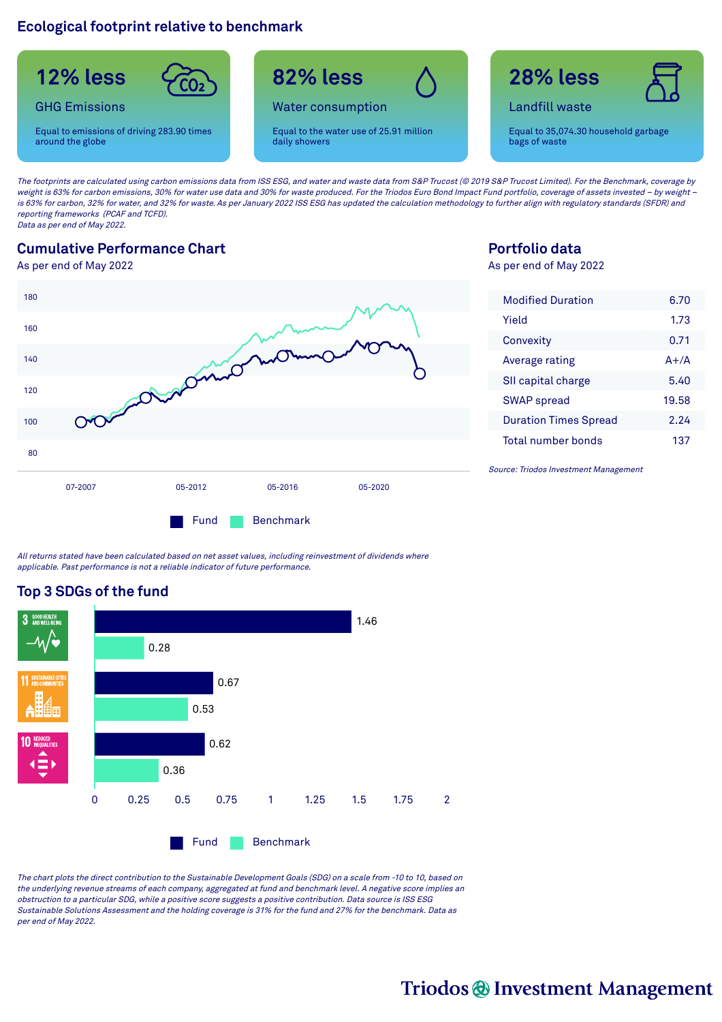### **Ecological footprint relative to benchmark**



The footprints are calculated using carbon emissions data from ISS ESG, and water and waste data from S&P Trucost (@ 2019 S&P Trucost Limited). For the Benchmark, coverage by weight is 63% for carbon emissions, 30% for water use data and 30% for waste produced. For the Triodos Euro Bond Impact Fund portfolio, coverage of assets invested - by weight is 63% for carbon, 32% for water, and 32% for waste. As per January 2022 ISS ESG has updated the calculation methodology to further align with regulatory standards (SFDR) and reporting frameworks (PCAF and TCFD). Data as per end of May 2022.

### **Cumulative Performance Chart**

As per end of May 2022



## **Portfolio data**

As per end of May 2022

| <b>Modified Duration</b>     | 6.70     |
|------------------------------|----------|
| Yield                        | 1.73     |
| Convexity                    | 0.71     |
| Average rating               | $A + /A$ |
| SII capital charge           | 5.40     |
| <b>SWAP</b> spread           | 19.58    |
| <b>Duration Times Spread</b> | 2 24     |
| Total number bonds           | 137      |

Source: Triodos Investment Management

All returns stated have been calculated based on net asset values, including reinvestment of dividends where applicable. Past performance is not <sup>a</sup> reliable indicator of future performance.

## **Top 3 SDGs of the fund**



The chart plots the direct contribution to the Sustainable Development Goals (SDG) on <sup>a</sup> scale from -10 to 10, based on the underlying revenue streams of each company, aggregated at fund and benchmark level. A negative score implies an obstruction to <sup>a</sup> particular SDG, while <sup>a</sup> positive score suggests <sup>a</sup> positive contribution. Data source is ISS ESG Sustainable Solutions Assessment and the holding coverage is 31% for the fund and 27% for the benchmark. Data as per end of May 2022.

# Triodos @ Investment Management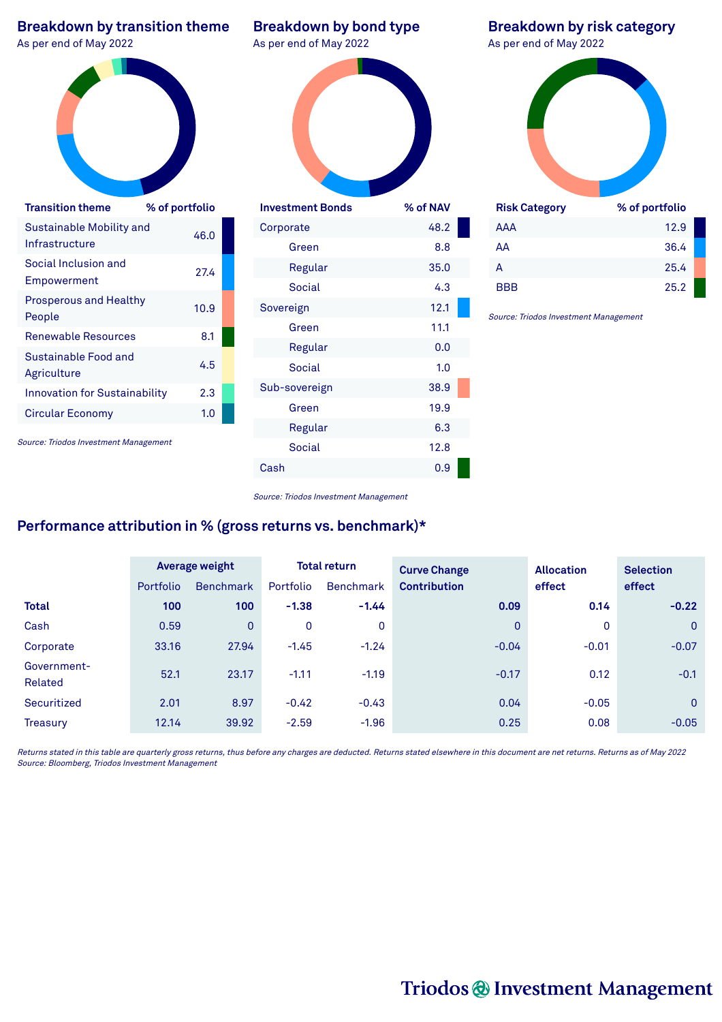| <b>Breakdown by transition theme</b><br>As per end of May 2022 |                | <b>Breakdown by bond type</b><br>As per end of May 2022 |          | <b>Breakdown by risk category</b><br>As per end of May 2022 |                |
|----------------------------------------------------------------|----------------|---------------------------------------------------------|----------|-------------------------------------------------------------|----------------|
| <b>Transition theme</b>                                        | % of portfolio | <b>Investment Bonds</b>                                 | % of NAV | <b>Risk Category</b>                                        | % of portfolio |
| Sustainable Mobility and                                       | 46.0           | Corporate                                               | 48.2     | AAA                                                         | 12.9           |
| Infrastructure                                                 |                | Green                                                   | 8.8      | AA                                                          | 36.4           |
| Social Inclusion and                                           | 27.4           | Regular                                                 | 35.0     | A                                                           | 25.4           |
| Empowerment                                                    |                | <b>Social</b>                                           | 4.3      | <b>BBB</b>                                                  | 25.2           |
| <b>Prosperous and Healthy</b><br>People                        | 10.9           | Sovereign                                               | 12.1     | Source: Triodos Investment Management                       |                |
| <b>Renewable Resources</b>                                     | 8.1            | Green                                                   | 11.1     |                                                             |                |
| Sustainable Food and                                           |                | Regular                                                 | 0.0      |                                                             |                |
| Agriculture                                                    | 4.5            | Social                                                  | 1.0      |                                                             |                |
| <b>Innovation for Sustainability</b>                           | 2.3            | Sub-sovereign                                           | 38.9     |                                                             |                |
| <b>Circular Economy</b>                                        | 1.0            | Green                                                   | 19.9     |                                                             |                |
|                                                                |                | Regular                                                 | 6.3      |                                                             |                |
| Source: Triodos Investment Management                          |                | Social                                                  | 12.8     |                                                             |                |
|                                                                |                | Cash                                                    | 0.9      |                                                             |                |

#### Source: Triodos Investment Management

# **Performance attribution in % (gross returns vs. benchmark)\***

|                        |                  | <b>Average weight</b> |             | <b>Total return</b> | <b>Curve Change</b> | <b>Allocation</b> | <b>Selection</b> |
|------------------------|------------------|-----------------------|-------------|---------------------|---------------------|-------------------|------------------|
|                        | <b>Portfolio</b> | <b>Benchmark</b>      | Portfolio   | <b>Benchmark</b>    | <b>Contribution</b> | effect            | effect           |
| <b>Total</b>           | 100              | 100                   | $-1.38$     | $-1.44$             | 0.09                | 0.14              | $-0.22$          |
| Cash                   | 0.59             | $\Omega$              | $\mathbf 0$ | $\mathbf 0$         | $\overline{0}$      | 0                 | $\overline{0}$   |
| Corporate              | 33.16            | 27.94                 | $-1.45$     | $-1.24$             | $-0.04$             | $-0.01$           | $-0.07$          |
| Government-<br>Related | 52.1             | 23.17                 | $-1.11$     | $-1.19$             | $-0.17$             | 0.12              | $-0.1$           |
| Securitized            | 2.01             | 8.97                  | $-0.42$     | $-0.43$             | 0.04                | $-0.05$           | $\overline{0}$   |
| <b>Treasury</b>        | 12.14            | 39.92                 | $-2.59$     | $-1.96$             | 0.25                | 0.08              | $-0.05$          |

Returns stated in this table are quarterly gross returns, thus before any charges are deducted. Returns stated elsewhere in this document are net returns. Returns as of May 2022 Source: Bloomberg, Triodos Investment Management